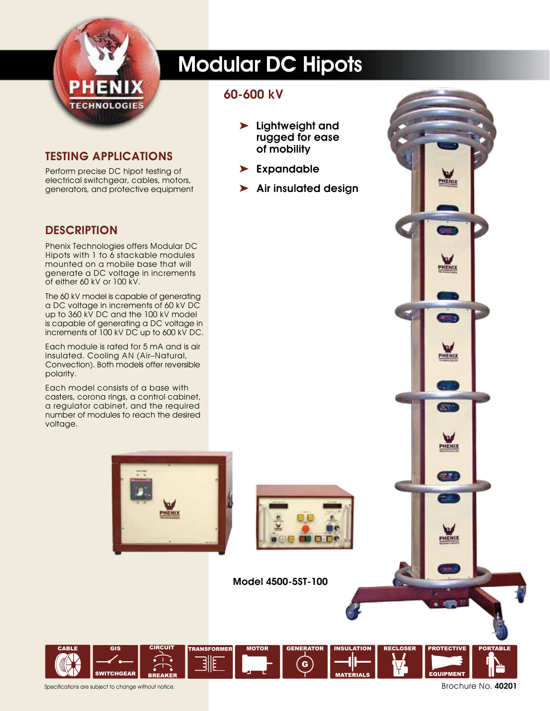

# Modular DC Hipots

#### 60-600 kV

- ➤ Lightweight and rugged for ease of mobility
- ➤ Expandable
- ➤ Air insulated design

#### Testing Applications

Perform precise DC hipot testing of electrical switchgear, cables, motors, generators, and protective equipment

#### **DESCRIPTION**

Phenix Technologies offers Modular DC Hipots with 1 to 6 stackable modules mounted on a mobile base that will generate a DC voltage in increments of either 60 kV or 100 kV.

The 60 kV model is capable of generating a DC voltage in increments of 60 kV DC up to 360 kV DC and the 100 kV model is capable of generating a DC voltage in increments of 100 kV DC up to 600 kV DC.

Each module is rated for 5 mA and is air insulated. Cooling AN (Air–Natural, Convection). Both models offer reversible polarity.

Each model consists of a base with casters, corona rings, a control cabinet, a regulator cabinet, and the required number of modules to reach the desired voltage.





G

INSULATION

MOTOR GENERATOR INSULATION RECLOSER PROTECTIVE

MATERIALS

Model 4500-5ST-100



EQUIPMENT

PHENIX

m PHENIX

**ET** 

w PHENIX

**HEND**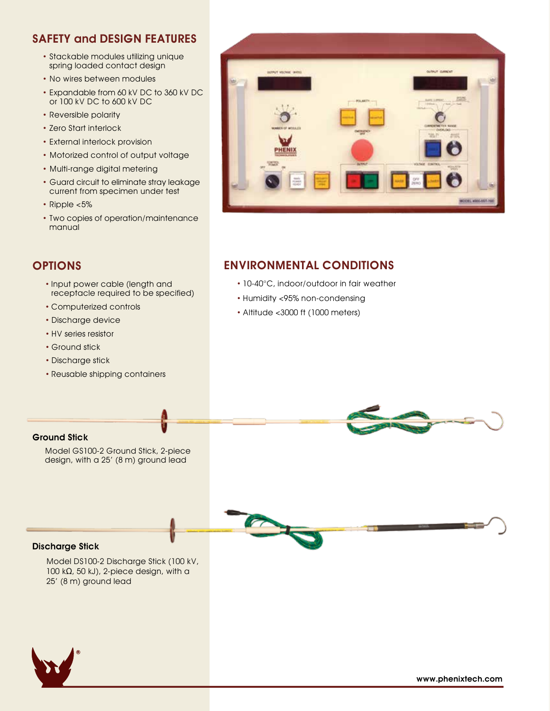### SAFETY and DESIGN FEATURES

- Stackable modules utilizing unique spring loaded contact design
- No wires between modules
- Expandable from 60 kV DC to 360 kV DC or 100 kV DC to 600 kV DC
- Reversible polarity
- Zero Start interlock
- External interlock provision
- Motorized control of output voltage
- Multi-range digital metering
- Guard circuit to eliminate stray leakage current from specimen under test
- Ripple <5%
- Two copies of operation/maintenance manual

### **OPTIONS**

- Input power cable (length and receptacle required to be specified)
- Computerized controls
- Discharge device
- HV series resistor
- Ground stick
- Discharge stick
- Reusable shipping containers



### ENVIRONMENTAL CONDITIONS

- 10-40°C, indoor/outdoor in fair weather
- Humidity <95% non-condensing
- Altitude <3000 ft (1000 meters)



Model GS100-2 Ground Stick, 2-piece design, with a 25' (8 m) ground lead



#### Discharge Stick

Model DS100-2 Discharge Stick (100 kV, 100 kΩ, 50 kJ), 2-piece design, with a 25' (8 m) ground lead

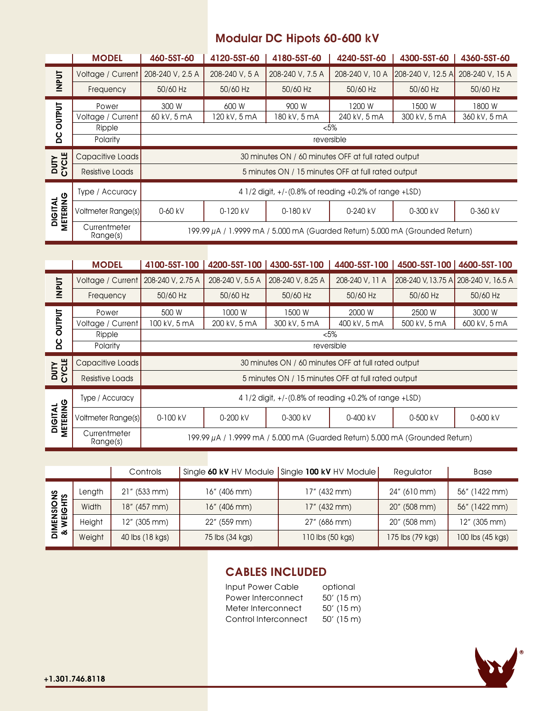## Modular DC Hipots 60-600 kV

|                            | <b>MODEL</b>             | 460-5ST-60                                                                        | 4120-5ST-60    | 4180-5ST-60      | 4240-5ST-60     | 4300-5ST-60       | 4360-5ST-60     |  |
|----------------------------|--------------------------|-----------------------------------------------------------------------------------|----------------|------------------|-----------------|-------------------|-----------------|--|
| <b>INPUT</b>               | Voltage / Current        | 208-240 V, 2.5 A                                                                  | 208-240 V, 5 A | 208-240 V, 7.5 A | 208-240 V, 10 A | 208-240 V, 12.5 A | 208-240 V, 15 A |  |
|                            | Frequency                | 50/60 Hz                                                                          | 50/60 Hz       | 50/60 Hz         | 50/60 Hz        | 50/60 Hz          | 50/60 Hz        |  |
| <b>LIALINO</b>             | Power                    | 300 W                                                                             | 600 W          | 900 W            | 1200 W          | 1500 W            | 1800 W          |  |
|                            | Voltage / Current        | 60 kV, 5 mA                                                                       | 120 kV, 5 mA   | 180 kV, 5 mA     | 240 kV, 5 mA    | 300 kV, 5 mA      | 360 kV, 5 mA    |  |
|                            | Ripple                   | $< 5\%$                                                                           |                |                  |                 |                   |                 |  |
| ပ္က                        | Polarity                 | reversible                                                                        |                |                  |                 |                   |                 |  |
| <b>DUTY</b><br>CYCLE       | Capacitive Loads         | 30 minutes ON / 60 minutes OFF at full rated output                               |                |                  |                 |                   |                 |  |
|                            | <b>Resistive Loads</b>   | 5 minutes ON / 15 minutes OFF at full rated output                                |                |                  |                 |                   |                 |  |
| METERING<br><b>DIGITAL</b> | Type / Accuracy          | 4 1/2 digit, +/-(0.8% of reading +0.2% of range +LSD)                             |                |                  |                 |                   |                 |  |
|                            | Voltmeter Range(s)       | 0-60 kV                                                                           | 0-120 kV       | 0-180 kV         | 0-240 kV        | 0-300 kV          | 0-360 kV        |  |
|                            | Currentmeter<br>Range(s) | 199.99 $\mu$ A / 1.9999 mA / 5.000 mA (Guarded Return) 5.000 mA (Grounded Return) |                |                  |                 |                   |                 |  |

| <b>TUPUT</b>                | Voltage / Current        |                          | 208-240 V, 2.5 A                                    |                                                                              | 208-240 V, 5 A                                                | 208-240 V, 7.5 A                                   | 208-240 V, 10 A                                          | [208-240 V, 12.5 A] 208-240 V, 15 A |                                      |  |
|-----------------------------|--------------------------|--------------------------|-----------------------------------------------------|------------------------------------------------------------------------------|---------------------------------------------------------------|----------------------------------------------------|----------------------------------------------------------|-------------------------------------|--------------------------------------|--|
|                             | Frequency                |                          | 50/60 Hz                                            |                                                                              | 50/60 Hz                                                      | 50/60 Hz                                           | 50/60 Hz                                                 | 50/60 Hz                            | 50/60 Hz                             |  |
| <b>DC OUTPUT</b>            | Power                    |                          | 300 W                                               |                                                                              | 600 W                                                         | 900 W                                              | 1200 W                                                   | 1500 W                              | 1800 W                               |  |
|                             | Voltage / Current        |                          | 60 kV, 5 mA                                         |                                                                              | 120 kV, 5 mA                                                  | 180 kV, 5 mA                                       | 240 kV, 5 mA                                             | 300 kV, 5 mA                        | 360 kV, 5 mA                         |  |
|                             | Ripple<br>Polarity       |                          | $<5\%$<br>reversible                                |                                                                              |                                                               |                                                    |                                                          |                                     |                                      |  |
|                             |                          |                          |                                                     |                                                                              |                                                               |                                                    |                                                          |                                     |                                      |  |
| CYCLE<br><b>DUTY</b>        | Capacitive Loads         |                          | 30 minutes ON / 60 minutes OFF at full rated output |                                                                              |                                                               |                                                    |                                                          |                                     |                                      |  |
|                             | <b>Resistive Loads</b>   |                          |                                                     |                                                                              |                                                               | 5 minutes ON / 15 minutes OFF at full rated output |                                                          |                                     |                                      |  |
|                             | Type / Accuracy          |                          |                                                     |                                                                              | 4 1/2 digit, +/-(0.8% of reading +0.2% of range +LSD)         |                                                    |                                                          |                                     |                                      |  |
| <b>DIGITAL<br/>METERING</b> | Voltmeter Range(s)       |                          | 0-60 kV                                             |                                                                              | 0-120 kV                                                      | 0-180 kV                                           | 0-240 kV                                                 | 0-300 kV                            | 0-360 kV                             |  |
|                             | Currentmeter<br>Range(s) |                          |                                                     | 199.99 µA / 1.9999 mA / 5.000 mA (Guarded Return) 5.000 mA (Grounded Return) |                                                               |                                                    |                                                          |                                     |                                      |  |
|                             |                          |                          |                                                     |                                                                              |                                                               |                                                    |                                                          |                                     |                                      |  |
|                             | <b>MODEL</b>             |                          | 4100-5ST-100                                        |                                                                              |                                                               | 4200-5ST-100   4300-5ST-100                        | 4400-5ST-100                                             |                                     | 4500-5ST-100   4600-5ST-100          |  |
| <b>INPUT</b>                | Voltage / Current        |                          | 208-240 V, 2.75 A                                   |                                                                              | 208-240 V, 5.5 A                                              | 208-240 V, 8.25 A                                  | 208-240 V, 11 A                                          |                                     | 208-240 V, 13.75 A 208-240 V, 16.5 A |  |
|                             | Frequency                |                          | 50/60 Hz                                            |                                                                              | 50/60 Hz                                                      | 50/60 Hz                                           | 50/60 Hz                                                 | 50/60 Hz                            | 50/60 Hz                             |  |
| <b>DC OUTPUT</b>            |                          | 500 W<br>Power           |                                                     |                                                                              | 1000W                                                         | 1500 W                                             | 2000 W                                                   | 2500 W                              | 3000 W                               |  |
|                             | Voltage / Current        |                          | 100 kV, 5 mA                                        | 200 kV, 5 mA<br>300 kV, 5 mA<br>400 kV, 5 mA<br>500 kV, 5 mA<br>600 kV, 5 mA |                                                               |                                                    |                                                          |                                     |                                      |  |
|                             | Ripple<br>Polarity       |                          |                                                     | 5%<br>reversible                                                             |                                                               |                                                    |                                                          |                                     |                                      |  |
|                             | Capacitive Loads         |                          |                                                     |                                                                              | 30 minutes ON / 60 minutes OFF at full rated output           |                                                    |                                                          |                                     |                                      |  |
| <b>DUTY</b><br>CYCLE        | <b>Resistive Loads</b>   |                          |                                                     | 5 minutes ON / 15 minutes OFF at full rated output                           |                                                               |                                                    |                                                          |                                     |                                      |  |
|                             | Type / Accuracy          |                          |                                                     |                                                                              | 4 1/2 digit, +/-(0.8% of reading +0.2% of range +LSD)         |                                                    |                                                          |                                     |                                      |  |
| <b>DIGITAL<br/>METERING</b> | Voltmeter Range(s)       |                          | 0-100 kV                                            |                                                                              | 0-200 kV                                                      | 0-300 kV                                           | 0-400 kV                                                 | 0-500 kV                            | 0-600 kV                             |  |
|                             |                          | Currentmeter<br>Range(s) |                                                     | 199.99 µA / 1.9999 mA / 5.000 mA (Guarded Return) 5.000 mA (Grounded Return) |                                                               |                                                    |                                                          |                                     |                                      |  |
|                             |                          |                          |                                                     |                                                                              |                                                               |                                                    |                                                          |                                     |                                      |  |
|                             |                          |                          | Controls                                            |                                                                              |                                                               | Single 60 kV HV Module Single 100 kV HV Module     |                                                          | Regulator                           | <b>Base</b>                          |  |
|                             | Length                   |                          | 21" (533 mm)                                        |                                                                              | 16" (406 mm)                                                  | 17" (432 mm)                                       |                                                          | 24" (610 mm)                        | 56" (1422 mm)                        |  |
|                             | Width                    |                          | 18" (457 mm)                                        | 16" (406 mm)                                                                 |                                                               | 17" (432 mm)                                       |                                                          | 20" (508 mm)                        | 56" (1422 mm)                        |  |
|                             | Height                   |                          | 12" (305 mm)                                        |                                                                              | 22" (559 mm)                                                  | 27" (686 mm)                                       |                                                          | 20" (508 mm)                        | 12" (305 mm)                         |  |
| DIMENSIONS<br>& WEIGHTS     | Weight                   |                          | 40 lbs (18 kgs)                                     | 75 lbs (34 kgs)                                                              |                                                               | 110 lbs (50 kgs)                                   |                                                          | 175 lbs (79 kgs)                    | 100 lbs (45 kgs)                     |  |
|                             |                          |                          |                                                     |                                                                              |                                                               |                                                    |                                                          |                                     |                                      |  |
|                             |                          |                          |                                                     |                                                                              | Input Power Cable<br>Power Interconnect<br>Meter Interconnect | <b>CABLES INCLUDED</b><br>Control Interconnect     | optional<br>$50'$ (15 m)<br>$50'$ (15 m)<br>$50'$ (15 m) |                                     |                                      |  |
| +1.301.746.8118             |                          |                          |                                                     |                                                                              |                                                               |                                                    |                                                          |                                     |                                      |  |

|                                   |        | Controls        |                 | Single 60 kV HV Module Single 100 kV HV Module | Regulator        | Base             |
|-----------------------------------|--------|-----------------|-----------------|------------------------------------------------|------------------|------------------|
| <b>MENSIONS</b><br>WEIGHTS<br>듦 ∾ | Length | $21''$ (533 mm) | 16" (406 mm)    | 17" (432 mm)                                   | 24" (610 mm)     | 56" (1422 mm)    |
|                                   | Width  | 18" (457 mm)    | $16''$ (406 mm) | $17''$ (432 mm)                                | 20" (508 mm)     | 56" (1422 mm)    |
|                                   | Height | 12" (305 mm)    | 22" (559 mm)    | $27''$ (686 mm)                                | 20" (508 mm)     | 12" (305 mm)     |
|                                   | Weight | 40 lbs (18 kgs) | 75 lbs (34 kgs) | 110 lbs (50 kgs)                               | 175 lbs (79 kgs) | 100 lbs (45 kgs) |

# CABLES INCLUDED

| Input Power Cable    | optional     |
|----------------------|--------------|
| Power Interconnect   | $50'$ (15 m) |
| Meter Interconnect   | $50'$ (15 m) |
| Control Interconnect | $50'$ (15 m) |